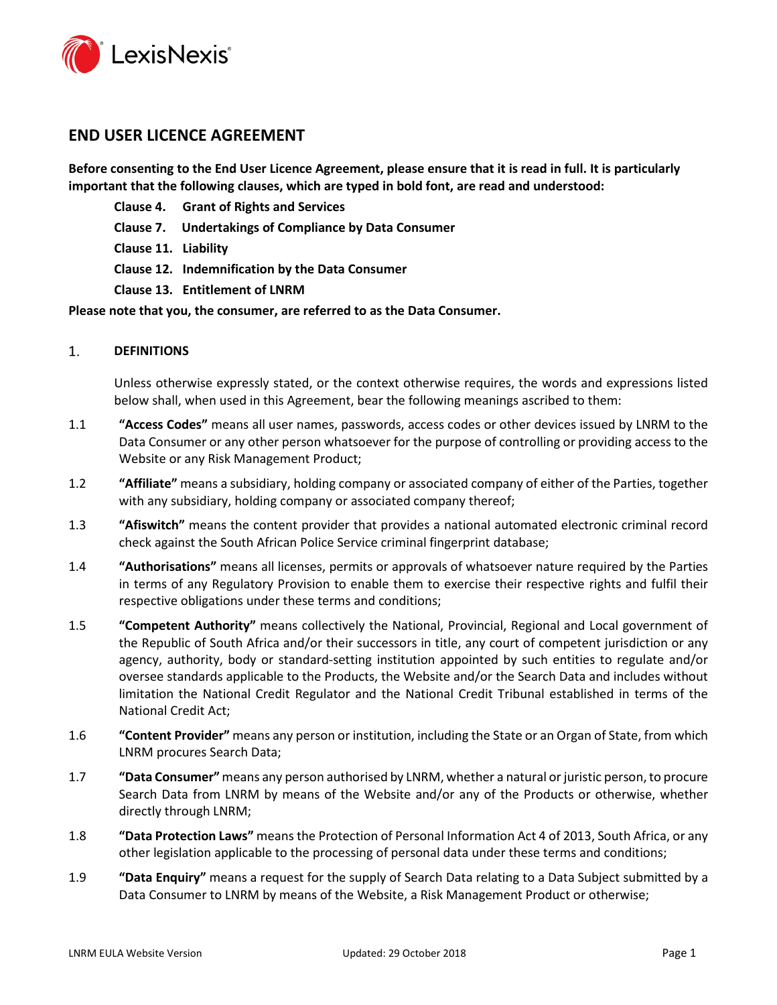

# **END USER LICENCE AGREEMENT**

**Before consenting to the End User Licence Agreement, please ensure that it is read in full. It is particularly important that the following clauses, which are typed in bold font, are read and understood:** 

- **Clause [4.](#page-2-0) Grant of Rights and Services**
- **Clause 7. Undertakings of Compliance by Data Consumer**
- **Clause [11.](#page-7-0) Liability**
- **Clause [12.](#page-8-0) Indemnification by the Data Consumer**
- **Clause [13.](#page-9-0) Entitlement of LNRM**

# **Please note that you, the consumer, are referred to as the Data Consumer.**

 $1.$ **DEFINITIONS**

> Unless otherwise expressly stated, or the context otherwise requires, the words and expressions listed below shall, when used in this Agreement, bear the following meanings ascribed to them:

- 1.1 **"Access Codes"** means all user names, passwords, access codes or other devices issued by LNRM to the Data Consumer or any other person whatsoever for the purpose of controlling or providing access to the Website or any Risk Management Product;
- 1.2 **"Affiliate"** means a subsidiary, holding company or associated company of either of the Parties, together with any subsidiary, holding company or associated company thereof;
- 1.3 **"Afiswitch"** means the content provider that provides a national automated electronic criminal record check against the South African Police Service criminal fingerprint database;
- 1.4 **"Authorisations"** means all licenses, permits or approvals of whatsoever nature required by the Parties in terms of any Regulatory Provision to enable them to exercise their respective rights and fulfil their respective obligations under these terms and conditions;
- 1.5 **"Competent Authority"** means collectively the National, Provincial, Regional and Local government of the Republic of South Africa and/or their successors in title, any court of competent jurisdiction or any agency, authority, body or standard-setting institution appointed by such entities to regulate and/or oversee standards applicable to the Products, the Website and/or the Search Data and includes without limitation the National Credit Regulator and the National Credit Tribunal established in terms of the National Credit Act;
- 1.6 **"Content Provider"** means any person or institution, including the State or an Organ of State, from which LNRM procures Search Data;
- 1.7 **"Data Consumer"**means any person authorised by LNRM, whether a natural or juristic person, to procure Search Data from LNRM by means of the Website and/or any of the Products or otherwise, whether directly through LNRM;
- 1.8 **"Data Protection Laws"** means the Protection of Personal Information Act 4 of 2013, South Africa, or any other legislation applicable to the processing of personal data under these terms and conditions;
- 1.9 **"Data Enquiry"** means a request for the supply of Search Data relating to a Data Subject submitted by a Data Consumer to LNRM by means of the Website, a Risk Management Product or otherwise;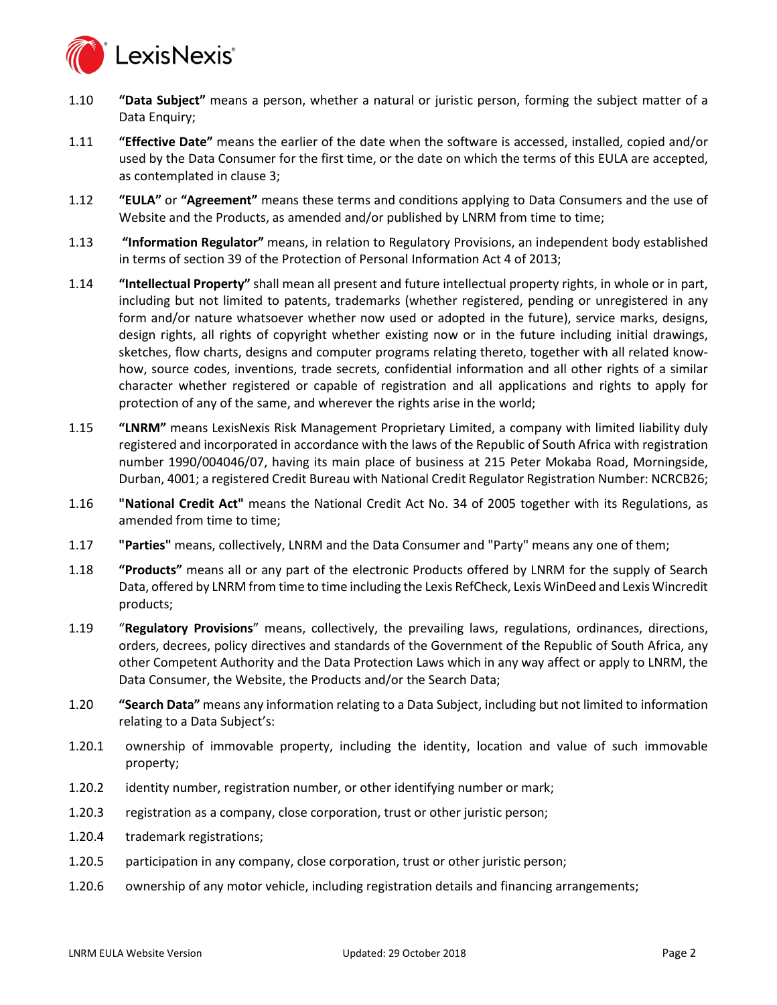

- 1.10 **"Data Subject"** means a person, whether a natural or juristic person, forming the subject matter of a Data Enquiry;
- 1.11 **"Effective Date"** means the earlier of the date when the software is accessed, installed, copied and/or used by the Data Consumer for the first time, or the date on which the terms of this EULA are accepted, as contemplated in clause [3;](#page-2-1)
- 1.12 **"EULA"** or **"Agreement"** means these terms and conditions applying to Data Consumers and the use of Website and the Products, as amended and/or published by LNRM from time to time;
- 1.13 **"Information Regulator"** means, in relation to Regulatory Provisions, an independent body established in terms of section 39 of the Protection of Personal Information Act 4 of 2013;
- 1.14 **"Intellectual Property"** shall mean all present and future intellectual property rights, in whole or in part, including but not limited to patents, trademarks (whether registered, pending or unregistered in any form and/or nature whatsoever whether now used or adopted in the future), service marks, designs, design rights, all rights of copyright whether existing now or in the future including initial drawings, sketches, flow charts, designs and computer programs relating thereto, together with all related knowhow, source codes, inventions, trade secrets, confidential information and all other rights of a similar character whether registered or capable of registration and all applications and rights to apply for protection of any of the same, and wherever the rights arise in the world;
- <span id="page-1-0"></span>1.15 **"LNRM"** means LexisNexis Risk Management Proprietary Limited, a company with limited liability duly registered and incorporated in accordance with the laws of the Republic of South Africa with registration number 1990/004046/07, having its main place of business at 215 Peter Mokaba Road, Morningside, Durban, 4001; a registered Credit Bureau with National Credit Regulator Registration Number: NCRCB26;
- 1.16 **"National Credit Act"** means the National Credit Act No. 34 of 2005 together with its Regulations, as amended from time to time;
- 1.17 **"Parties"** means, collectively, LNRM and the Data Consumer and "Party" means any one of them;
- 1.18 **"Products"** means all or any part of the electronic Products offered by LNRM for the supply of Search Data, offered by LNRM from time to time including the Lexis RefCheck, Lexis WinDeed and Lexis Wincredit products;
- 1.19 "**Regulatory Provisions**" means, collectively, the prevailing laws, regulations, ordinances, directions, orders, decrees, policy directives and standards of the Government of the Republic of South Africa, any other Competent Authority and the Data Protection Laws which in any way affect or apply to LNRM, the Data Consumer, the Website, the Products and/or the Search Data;
- 1.20 **"Search Data"** means any information relating to a Data Subject, including but not limited to information relating to a Data Subject's:
- 1.20.1 ownership of immovable property, including the identity, location and value of such immovable property;
- 1.20.2 identity number, registration number, or other identifying number or mark;
- 1.20.3 registration as a company, close corporation, trust or other juristic person;
- 1.20.4 trademark registrations;
- 1.20.5 participation in any company, close corporation, trust or other juristic person;
- 1.20.6 ownership of any motor vehicle, including registration details and financing arrangements;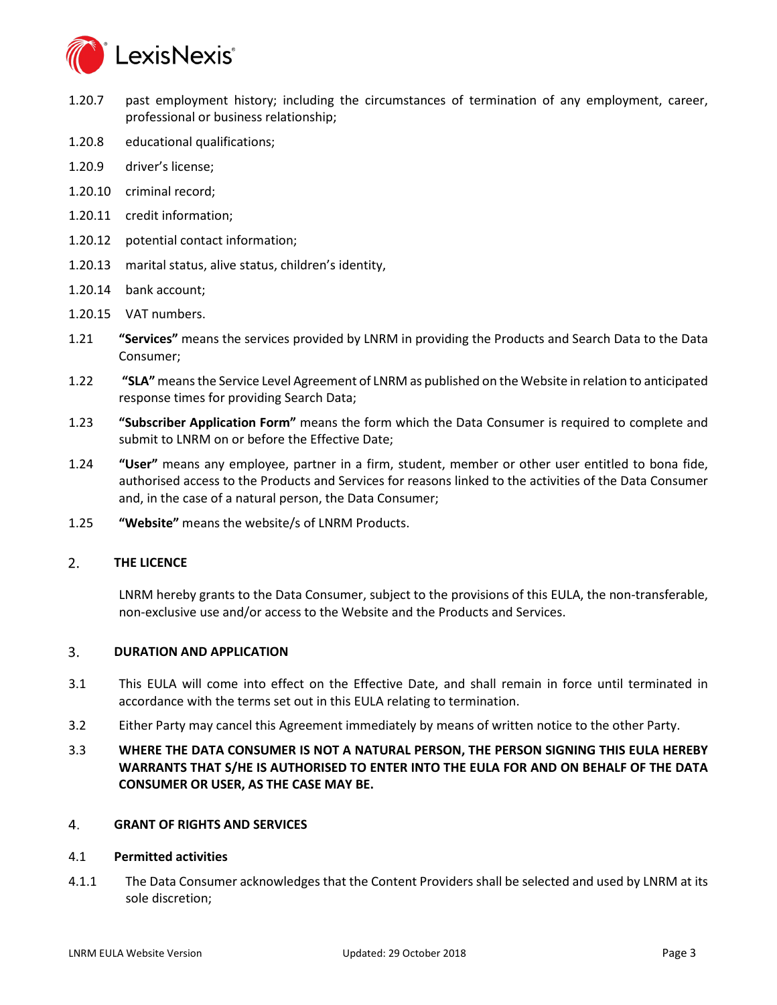

- 1.20.7 past employment history; including the circumstances of termination of any employment, career, professional or business relationship;
- 1.20.8 educational qualifications;
- 1.20.9 driver's license;
- 1.20.10 criminal record;
- 1.20.11 credit information;
- 1.20.12 potential contact information;
- 1.20.13 marital status, alive status, children's identity,
- 1.20.14 bank account;
- 1.20.15 VAT numbers.
- 1.21 **"Services"** means the services provided by LNRM in providing the Products and Search Data to the Data Consumer;
- 1.22 **"SLA"** means the Service Level Agreement of LNRM as published on the Website in relation to anticipated response times for providing Search Data;
- 1.23 **"Subscriber Application Form"** means the form which the Data Consumer is required to complete and submit to LNRM on or before the Effective Date;
- 1.24 **"User"** means any employee, partner in a firm, student, member or other user entitled to bona fide, authorised access to the Products and Services for reasons linked to the activities of the Data Consumer and, in the case of a natural person, the Data Consumer;
- 1.25 **"Website"** means the website/s of LNRM Products.

#### $2.$ **THE LICENCE**

LNRM hereby grants to the Data Consumer, subject to the provisions of this EULA, the non-transferable, non-exclusive use and/or access to the Website and the Products and Services.

#### <span id="page-2-1"></span>3. **DURATION AND APPLICATION**

- 3.1 This EULA will come into effect on the Effective Date, and shall remain in force until terminated in accordance with the terms set out in this EULA relating to termination.
- 3.2 Either Party may cancel this Agreement immediately by means of written notice to the other Party.
- 3.3 **WHERE THE DATA CONSUMER IS NOT A NATURAL PERSON, THE PERSON SIGNING THIS EULA HEREBY WARRANTS THAT S/HE IS AUTHORISED TO ENTER INTO THE EULA FOR AND ON BEHALF OF THE DATA CONSUMER OR USER, AS THE CASE MAY BE.**

#### <span id="page-2-0"></span> $\overline{4}$ . **GRANT OF RIGHTS AND SERVICES**

### 4.1 **Permitted activities**

4.1.1 The Data Consumer acknowledges that the Content Providers shall be selected and used by LNRM at its sole discretion;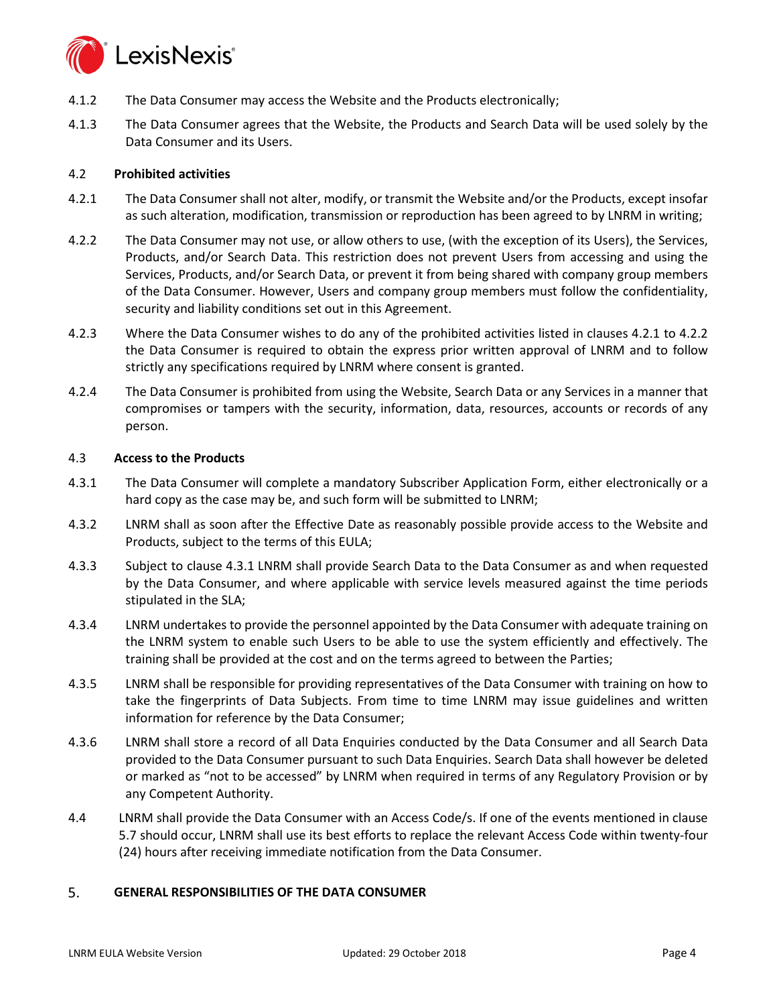

- 4.1.2 The Data Consumer may access the Website and the Products electronically;
- 4.1.3 The Data Consumer agrees that the Website, the Products and Search Data will be used solely by the Data Consumer and its Users.

# 4.2 **Prohibited activities**

- <span id="page-3-0"></span>4.2.1 The Data Consumer shall not alter, modify, or transmit the Website and/or the Products, except insofar as such alteration, modification, transmission or reproduction has been agreed to by LNRM in writing;
- <span id="page-3-1"></span>4.2.2 The Data Consumer may not use, or allow others to use, (with the exception of its Users), the Services, Products, and/or Search Data. This restriction does not prevent Users from accessing and using the Services, Products, and/or Search Data, or prevent it from being shared with company group members of the Data Consumer. However, Users and company group members must follow the confidentiality, security and liability conditions set out in this Agreement.
- 4.2.3 Where the Data Consumer wishes to do any of the prohibited activities listed in clauses [4.2.1](#page-3-0) to [4.2.2](#page-3-1) the Data Consumer is required to obtain the express prior written approval of LNRM and to follow strictly any specifications required by LNRM where consent is granted.
- 4.2.4 The Data Consumer is prohibited from using the Website, Search Data or any Services in a manner that compromises or tampers with the security, information, data, resources, accounts or records of any person.

# 4.3 **Access to the Products**

- <span id="page-3-2"></span>4.3.1 The Data Consumer will complete a mandatory Subscriber Application Form, either electronically or a hard copy as the case may be, and such form will be submitted to LNRM;
- 4.3.2 LNRM shall as soon after the Effective Date as reasonably possible provide access to the Website and Products, subject to the terms of this EULA;
- 4.3.3 Subject to clause [4.3.1](#page-3-2) LNRM shall provide Search Data to the Data Consumer as and when requested by the Data Consumer, and where applicable with service levels measured against the time periods stipulated in the SLA;
- 4.3.4 LNRM undertakes to provide the personnel appointed by the Data Consumer with adequate training on the LNRM system to enable such Users to be able to use the system efficiently and effectively. The training shall be provided at the cost and on the terms agreed to between the Parties;
- 4.3.5 LNRM shall be responsible for providing representatives of the Data Consumer with training on how to take the fingerprints of Data Subjects. From time to time LNRM may issue guidelines and written information for reference by the Data Consumer;
- 4.3.6 LNRM shall store a record of all Data Enquiries conducted by the Data Consumer and all Search Data provided to the Data Consumer pursuant to such Data Enquiries. Search Data shall however be deleted or marked as "not to be accessed" by LNRM when required in terms of any Regulatory Provision or by any Competent Authority.
- 4.4 LNRM shall provide the Data Consumer with an Access Code/s. If one of the events mentioned in clause [5.7](#page-4-0) should occur, LNRM shall use its best efforts to replace the relevant Access Code within twenty-four (24) hours after receiving immediate notification from the Data Consumer.

#### 5. **GENERAL RESPONSIBILITIES OF THE DATA CONSUMER**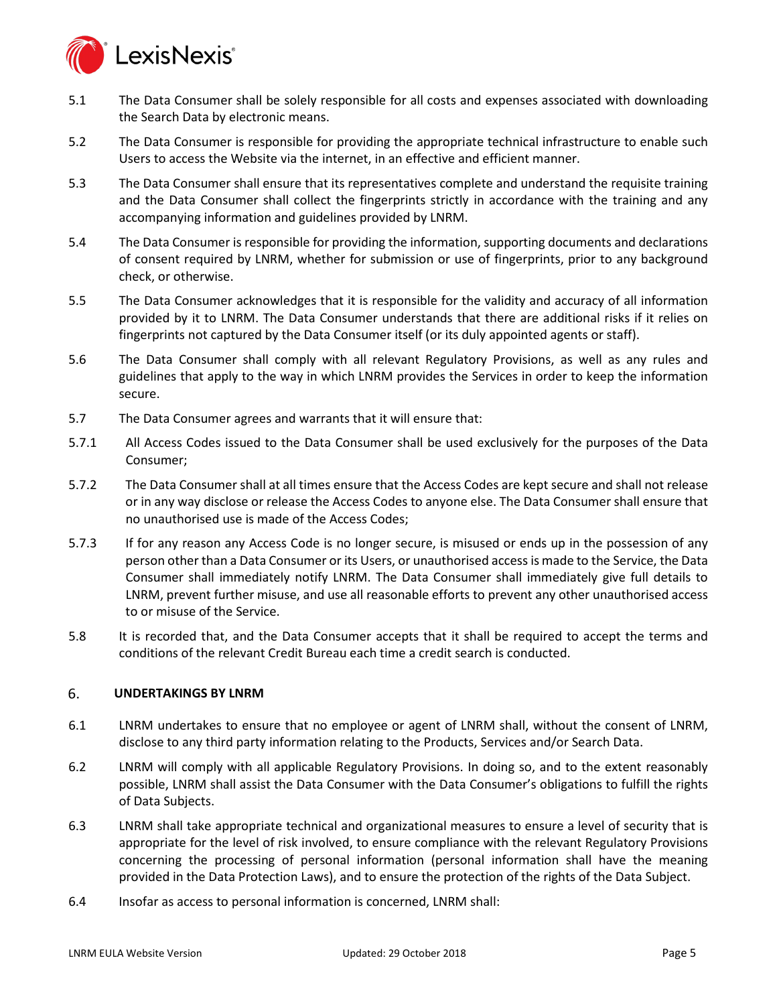

- 5.1 The Data Consumer shall be solely responsible for all costs and expenses associated with downloading the Search Data by electronic means.
- 5.2 The Data Consumer is responsible for providing the appropriate technical infrastructure to enable such Users to access the Website via the internet, in an effective and efficient manner.
- 5.3 The Data Consumer shall ensure that its representatives complete and understand the requisite training and the Data Consumer shall collect the fingerprints strictly in accordance with the training and any accompanying information and guidelines provided by LNRM.
- 5.4 The Data Consumer is responsible for providing the information, supporting documents and declarations of consent required by LNRM, whether for submission or use of fingerprints, prior to any background check, or otherwise.
- 5.5 The Data Consumer acknowledges that it is responsible for the validity and accuracy of all information provided by it to LNRM. The Data Consumer understands that there are additional risks if it relies on fingerprints not captured by the Data Consumer itself (or its duly appointed agents or staff).
- 5.6 The Data Consumer shall comply with all relevant Regulatory Provisions, as well as any rules and guidelines that apply to the way in which LNRM provides the Services in order to keep the information secure.
- <span id="page-4-0"></span>5.7 The Data Consumer agrees and warrants that it will ensure that:
- 5.7.1 All Access Codes issued to the Data Consumer shall be used exclusively for the purposes of the Data Consumer;
- 5.7.2 The Data Consumer shall at all times ensure that the Access Codes are kept secure and shall not release or in any way disclose or release the Access Codes to anyone else. The Data Consumer shall ensure that no unauthorised use is made of the Access Codes;
- <span id="page-4-1"></span>5.7.3 If for any reason any Access Code is no longer secure, is misused or ends up in the possession of any person other than a Data Consumer or its Users, or unauthorised access is made to the Service, the Data Consumer shall immediately notify LNRM. The Data Consumer shall immediately give full details to LNRM, prevent further misuse, and use all reasonable efforts to prevent any other unauthorised access to or misuse of the Service.
- 5.8 It is recorded that, and the Data Consumer accepts that it shall be required to accept the terms and conditions of the relevant Credit Bureau each time a credit search is conducted.

#### 6. **UNDERTAKINGS BY LNRM**

- 6.1 LNRM undertakes to ensure that no employee or agent of LNRM shall, without the consent of LNRM, disclose to any third party information relating to the Products, Services and/or Search Data.
- 6.2 LNRM will comply with all applicable Regulatory Provisions. In doing so, and to the extent reasonably possible, LNRM shall assist the Data Consumer with the Data Consumer's obligations to fulfill the rights of Data Subjects.
- 6.3 LNRM shall take appropriate technical and organizational measures to ensure a level of security that is appropriate for the level of risk involved, to ensure compliance with the relevant Regulatory Provisions concerning the processing of personal information (personal information shall have the meaning provided in the Data Protection Laws), and to ensure the protection of the rights of the Data Subject.
- 6.4 Insofar as access to personal information is concerned, LNRM shall: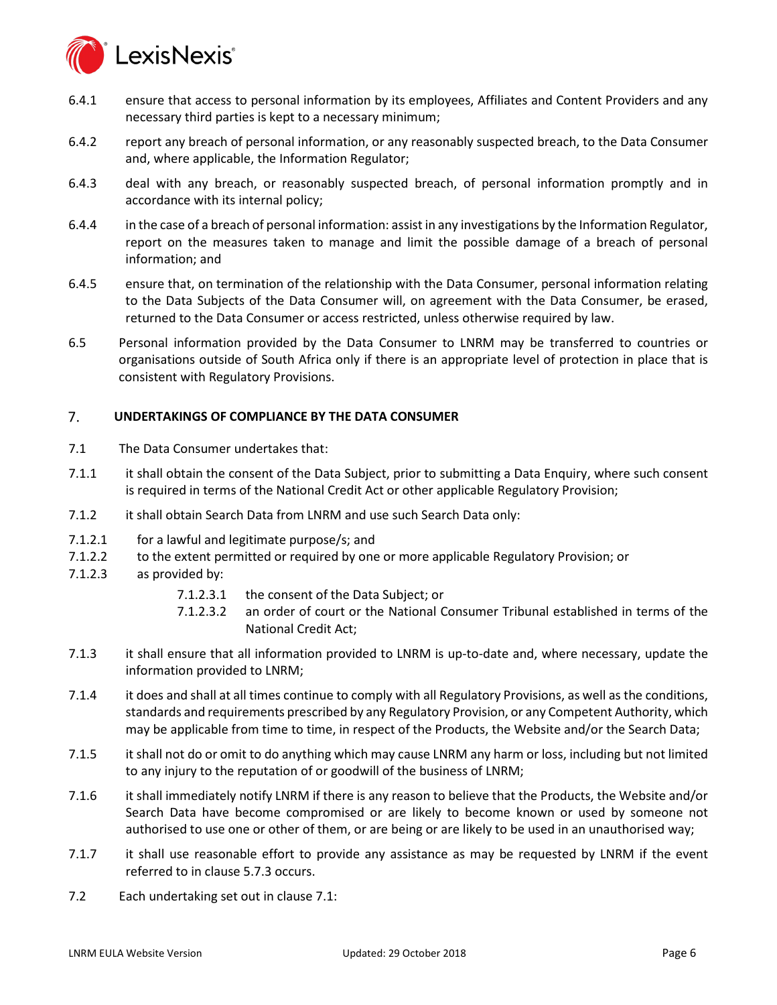

- 6.4.1 ensure that access to personal information by its employees, Affiliates and Content Providers and any necessary third parties is kept to a necessary minimum;
- 6.4.2 report any breach of personal information, or any reasonably suspected breach, to the Data Consumer and, where applicable, the Information Regulator;
- 6.4.3 deal with any breach, or reasonably suspected breach, of personal information promptly and in accordance with its internal policy;
- 6.4.4 in the case of a breach of personal information: assist in any investigations by the Information Regulator, report on the measures taken to manage and limit the possible damage of a breach of personal information; and
- 6.4.5 ensure that, on termination of the relationship with the Data Consumer, personal information relating to the Data Subjects of the Data Consumer will, on agreement with the Data Consumer, be erased, returned to the Data Consumer or access restricted, unless otherwise required by law.
- 6.5 Personal information provided by the Data Consumer to LNRM may be transferred to countries or organisations outside of South Africa only if there is an appropriate level of protection in place that is consistent with Regulatory Provisions.

#### $7<sup>1</sup>$ **UNDERTAKINGS OF COMPLIANCE BY THE DATA CONSUMER**

- <span id="page-5-0"></span>7.1 The Data Consumer undertakes that:
- 7.1.1 it shall obtain the consent of the Data Subject, prior to submitting a Data Enquiry, where such consent is required in terms of the National Credit Act or other applicable Regulatory Provision;
- 7.1.2 it shall obtain Search Data from LNRM and use such Search Data only:
- 7.1.2.1 for a lawful and legitimate purpose/s; and
- 7.1.2.2 to the extent permitted or required by one or more applicable Regulatory Provision; or
- 7.1.2.3 as provided by:
	- 7.1.2.3.1 the consent of the Data Subject; or
	- 7.1.2.3.2 an order of court or the National Consumer Tribunal established in terms of the National Credit Act;
- 7.1.3 it shall ensure that all information provided to LNRM is up-to-date and, where necessary, update the information provided to LNRM;
- 7.1.4 it does and shall at all times continue to comply with all Regulatory Provisions, as well as the conditions, standards and requirements prescribed by any Regulatory Provision, or any Competent Authority, which may be applicable from time to time, in respect of the Products, the Website and/or the Search Data;
- 7.1.5 it shall not do or omit to do anything which may cause LNRM any harm or loss, including but not limited to any injury to the reputation of or goodwill of the business of LNRM;
- 7.1.6 it shall immediately notify LNRM if there is any reason to believe that the Products, the Website and/or Search Data have become compromised or are likely to become known or used by someone not authorised to use one or other of them, or are being or are likely to be used in an unauthorised way;
- 7.1.7 it shall use reasonable effort to provide any assistance as may be requested by LNRM if the event referred to in clause [5.7.3](#page-4-1) occurs.
- 7.2 Each undertaking set out in clause [7.1:](#page-5-0)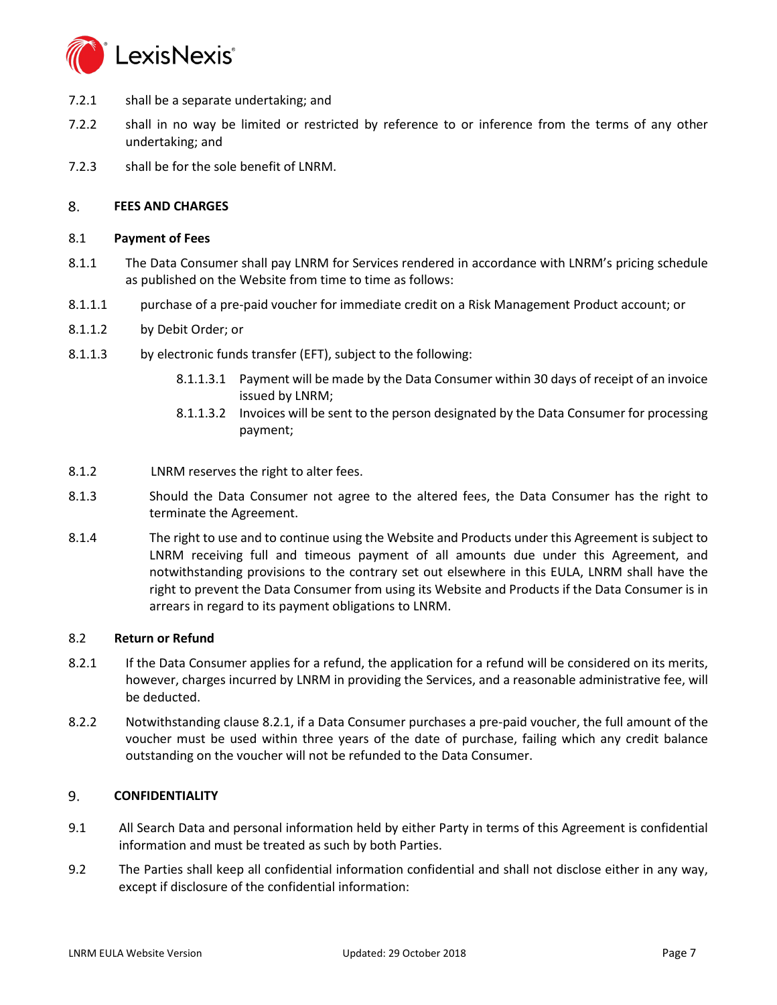

- 7.2.1 shall be a separate undertaking; and
- 7.2.2 shall in no way be limited or restricted by reference to or inference from the terms of any other undertaking; and
- 7.2.3 shall be for the sole benefit of LNRM.

#### 8. **FEES AND CHARGES**

# 8.1 **Payment of Fees**

- 8.1.1 The Data Consumer shall pay LNRM for Services rendered in accordance with LNRM's pricing schedule as published on the Website from time to time as follows:
- 8.1.1.1 purchase of a pre-paid voucher for immediate credit on a Risk Management Product account; or
- 8.1.1.2 by Debit Order; or
- 8.1.1.3 by electronic funds transfer (EFT), subject to the following:
	- 8.1.1.3.1 Payment will be made by the Data Consumer within 30 days of receipt of an invoice issued by LNRM;
	- 8.1.1.3.2 Invoices will be sent to the person designated by the Data Consumer for processing payment;
- 8.1.2 LNRM reserves the right to alter fees.
- 8.1.3 Should the Data Consumer not agree to the altered fees, the Data Consumer has the right to terminate the Agreement.
- 8.1.4 The right to use and to continue using the Website and Products under this Agreement is subject to LNRM receiving full and timeous payment of all amounts due under this Agreement, and notwithstanding provisions to the contrary set out elsewhere in this EULA, LNRM shall have the right to prevent the Data Consumer from using its Website and Products if the Data Consumer is in arrears in regard to its payment obligations to LNRM.

# <span id="page-6-0"></span>8.2 **Return or Refund**

- 8.2.1 If the Data Consumer applies for a refund, the application for a refund will be considered on its merits, however, charges incurred by LNRM in providing the Services, and a reasonable administrative fee, will be deducted.
- 8.2.2 Notwithstanding clause 8.2.1, if a Data Consumer purchases a pre-paid voucher, the full amount of the voucher must be used within three years of the date of purchase, failing which any credit balance outstanding on the voucher will not be refunded to the Data Consumer.

#### 9. **CONFIDENTIALITY**

- 9.1 All Search Data and personal information held by either Party in terms of this Agreement is confidential information and must be treated as such by both Parties.
- 9.2 The Parties shall keep all confidential information confidential and shall not disclose either in any way, except if disclosure of the confidential information: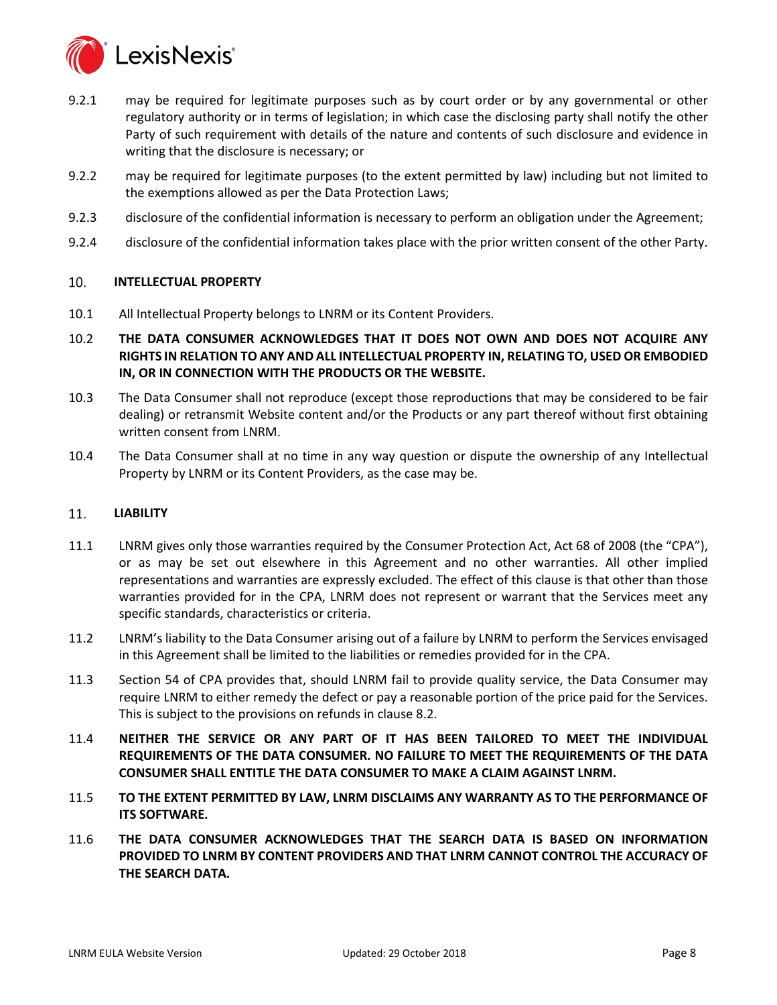

- 9.2.1 may be required for legitimate purposes such as by court order or by any governmental or other regulatory authority or in terms of legislation; in which case the disclosing party shall notify the other Party of such requirement with details of the nature and contents of such disclosure and evidence in writing that the disclosure is necessary; or
- 9.2.2 may be required for legitimate purposes (to the extent permitted by law) including but not limited to the exemptions allowed as per the Data Protection Laws;
- 9.2.3 disclosure of the confidential information is necessary to perform an obligation under the Agreement;
- 9.2.4 disclosure of the confidential information takes place with the prior written consent of the other Party.

#### 10. **INTELLECTUAL PROPERTY**

- 10.1 All Intellectual Property belongs to LNRM or its Content Providers.
- 10.2 **THE DATA CONSUMER ACKNOWLEDGES THAT IT DOES NOT OWN AND DOES NOT ACQUIRE ANY RIGHTS IN RELATION TO ANY AND ALL INTELLECTUAL PROPERTY IN, RELATING TO, USED OR EMBODIED IN, OR IN CONNECTION WITH THE PRODUCTS OR THE WEBSITE.**
- 10.3 The Data Consumer shall not reproduce (except those reproductions that may be considered to be fair dealing) or retransmit Website content and/or the Products or any part thereof without first obtaining written consent from LNRM.
- 10.4 The Data Consumer shall at no time in any way question or dispute the ownership of any Intellectual Property by LNRM or its Content Providers, as the case may be.

#### <span id="page-7-0"></span> $11<sub>1</sub>$ **LIABILITY**

- 11.1 LNRM gives only those warranties required by the Consumer Protection Act, Act 68 of 2008 (the "CPA"), or as may be set out elsewhere in this Agreement and no other warranties. All other implied representations and warranties are expressly excluded. The effect of this clause is that other than those warranties provided for in the CPA, LNRM does not represent or warrant that the Services meet any specific standards, characteristics or criteria.
- 11.2 LNRM's liability to the Data Consumer arising out of a failure by LNRM to perform the Services envisaged in this Agreement shall be limited to the liabilities or remedies provided for in the CPA.
- 11.3 Section 54 of CPA provides that, should LNRM fail to provide quality service, the Data Consumer may require LNRM to either remedy the defect or pay a reasonable portion of the price paid for the Services. This is subject to the provisions on refunds in clause [8.2.](#page-6-0)
- 11.4 **NEITHER THE SERVICE OR ANY PART OF IT HAS BEEN TAILORED TO MEET THE INDIVIDUAL REQUIREMENTS OF THE DATA CONSUMER. NO FAILURE TO MEET THE REQUIREMENTS OF THE DATA CONSUMER SHALL ENTITLE THE DATA CONSUMER TO MAKE A CLAIM AGAINST LNRM.**
- 11.5 **TO THE EXTENT PERMITTED BY LAW, LNRM DISCLAIMS ANY WARRANTY AS TO THE PERFORMANCE OF ITS SOFTWARE.**
- 11.6 **THE DATA CONSUMER ACKNOWLEDGES THAT THE SEARCH DATA IS BASED ON INFORMATION PROVIDED TO LNRM BY CONTENT PROVIDERS AND THAT LNRM CANNOT CONTROL THE ACCURACY OF THE SEARCH DATA.**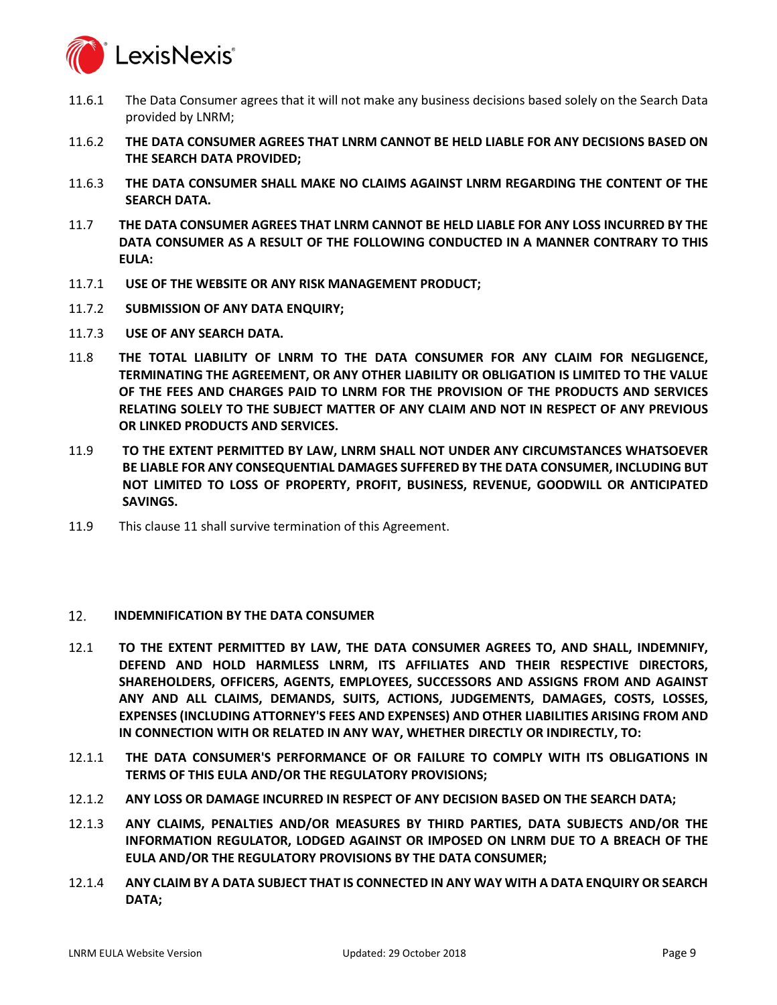

- 11.6.1 The Data Consumer agrees that it will not make any business decisions based solely on the Search Data provided by LNRM;
- 11.6.2 **THE DATA CONSUMER AGREES THAT LNRM CANNOT BE HELD LIABLE FOR ANY DECISIONS BASED ON THE SEARCH DATA PROVIDED;**
- 11.6.3 **THE DATA CONSUMER SHALL MAKE NO CLAIMS AGAINST LNRM REGARDING THE CONTENT OF THE SEARCH DATA.**
- 11.7 **THE DATA CONSUMER AGREES THAT LNRM CANNOT BE HELD LIABLE FOR ANY LOSS INCURRED BY THE DATA CONSUMER AS A RESULT OF THE FOLLOWING CONDUCTED IN A MANNER CONTRARY TO THIS EULA:**
- 11.7.1 **USE OF THE WEBSITE OR ANY RISK MANAGEMENT PRODUCT;**
- 11.7.2 **SUBMISSION OF ANY DATA ENQUIRY;**
- 11.7.3 **USE OF ANY SEARCH DATA.**
- 11.8 **THE TOTAL LIABILITY OF LNRM TO THE DATA CONSUMER FOR ANY CLAIM FOR NEGLIGENCE, TERMINATING THE AGREEMENT, OR ANY OTHER LIABILITY OR OBLIGATION IS LIMITED TO THE VALUE OF THE FEES AND CHARGES PAID TO LNRM FOR THE PROVISION OF THE PRODUCTS AND SERVICES RELATING SOLELY TO THE SUBJECT MATTER OF ANY CLAIM AND NOT IN RESPECT OF ANY PREVIOUS OR LINKED PRODUCTS AND SERVICES.**
- 11.9 **TO THE EXTENT PERMITTED BY LAW, LNRM SHALL NOT UNDER ANY CIRCUMSTANCES WHATSOEVER BE LIABLE FOR ANY CONSEQUENTIAL DAMAGES SUFFERED BY THE DATA CONSUMER, INCLUDING BUT NOT LIMITED TO LOSS OF PROPERTY, PROFIT, BUSINESS, REVENUE, GOODWILL OR ANTICIPATED SAVINGS.**
- 11.9 This claus[e 11](#page-7-0) shall survive termination of this Agreement.

#### <span id="page-8-0"></span>12. **INDEMNIFICATION BY THE DATA CONSUMER**

- 12.1 **TO THE EXTENT PERMITTED BY LAW, THE DATA CONSUMER AGREES TO, AND SHALL, INDEMNIFY, DEFEND AND HOLD HARMLESS LNRM, ITS AFFILIATES AND THEIR RESPECTIVE DIRECTORS, SHAREHOLDERS, OFFICERS, AGENTS, EMPLOYEES, SUCCESSORS AND ASSIGNS FROM AND AGAINST ANY AND ALL CLAIMS, DEMANDS, SUITS, ACTIONS, JUDGEMENTS, DAMAGES, COSTS, LOSSES, EXPENSES (INCLUDING ATTORNEY'S FEES AND EXPENSES) AND OTHER LIABILITIES ARISING FROM AND IN CONNECTION WITH OR RELATED IN ANY WAY, WHETHER DIRECTLY OR INDIRECTLY, TO:**
- 12.1.1 **THE DATA CONSUMER'S PERFORMANCE OF OR FAILURE TO COMPLY WITH ITS OBLIGATIONS IN TERMS OF THIS EULA AND/OR THE REGULATORY PROVISIONS;**
- 12.1.2 **ANY LOSS OR DAMAGE INCURRED IN RESPECT OF ANY DECISION BASED ON THE SEARCH DATA;**
- 12.1.3 **ANY CLAIMS, PENALTIES AND/OR MEASURES BY THIRD PARTIES, DATA SUBJECTS AND/OR THE INFORMATION REGULATOR, LODGED AGAINST OR IMPOSED ON LNRM DUE TO A BREACH OF THE EULA AND/OR THE REGULATORY PROVISIONS BY THE DATA CONSUMER;**
- 12.1.4 **ANY CLAIM BY A DATA SUBJECT THAT IS CONNECTED IN ANY WAY WITH A DATA ENQUIRY OR SEARCH DATA;**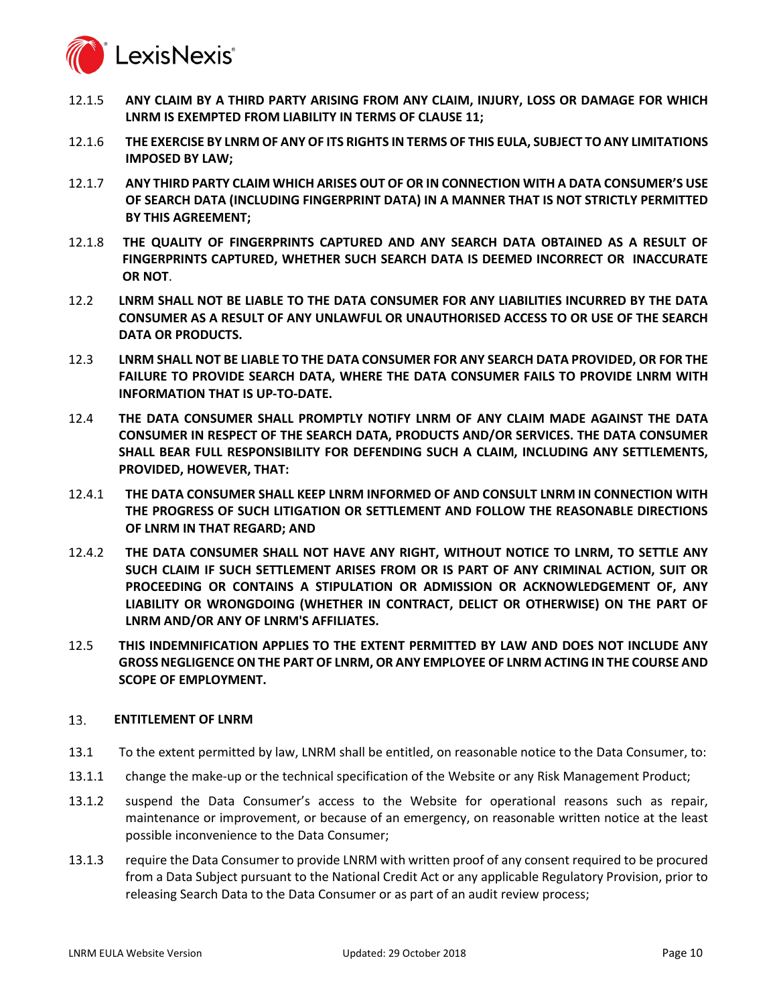

- 12.1.5 **ANY CLAIM BY A THIRD PARTY ARISING FROM ANY CLAIM, INJURY, LOSS OR DAMAGE FOR WHICH LNRM IS EXEMPTED FROM LIABILITY IN TERMS OF CLAUSE 11;**
- 12.1.6 **THE EXERCISE BY LNRM OF ANY OF ITS RIGHTS IN TERMS OF THIS EULA, SUBJECT TO ANY LIMITATIONS IMPOSED BY LAW;**
- 12.1.7 **ANY THIRD PARTY CLAIM WHICH ARISES OUT OF OR IN CONNECTION WITH A DATA CONSUMER'S USE OF SEARCH DATA (INCLUDING FINGERPRINT DATA) IN A MANNER THAT IS NOT STRICTLY PERMITTED BY THIS AGREEMENT;**
- 12.1.8 **THE QUALITY OF FINGERPRINTS CAPTURED AND ANY SEARCH DATA OBTAINED AS A RESULT OF FINGERPRINTS CAPTURED, WHETHER SUCH SEARCH DATA IS DEEMED INCORRECT OR INACCURATE OR NOT**.
- 12.2 **LNRM SHALL NOT BE LIABLE TO THE DATA CONSUMER FOR ANY LIABILITIES INCURRED BY THE DATA CONSUMER AS A RESULT OF ANY UNLAWFUL OR UNAUTHORISED ACCESS TO OR USE OF THE SEARCH DATA OR PRODUCTS.**
- 12.3 **LNRM SHALL NOT BE LIABLE TO THE DATA CONSUMER FOR ANY SEARCH DATA PROVIDED, OR FOR THE FAILURE TO PROVIDE SEARCH DATA, WHERE THE DATA CONSUMER FAILS TO PROVIDE LNRM WITH INFORMATION THAT IS UP-TO-DATE.**
- 12.4 **THE DATA CONSUMER SHALL PROMPTLY NOTIFY LNRM OF ANY CLAIM MADE AGAINST THE DATA CONSUMER IN RESPECT OF THE SEARCH DATA, PRODUCTS AND/OR SERVICES. THE DATA CONSUMER SHALL BEAR FULL RESPONSIBILITY FOR DEFENDING SUCH A CLAIM, INCLUDING ANY SETTLEMENTS, PROVIDED, HOWEVER, THAT:**
- 12.4.1 **THE DATA CONSUMER SHALL KEEP LNRM INFORMED OF AND CONSULT LNRM IN CONNECTION WITH THE PROGRESS OF SUCH LITIGATION OR SETTLEMENT AND FOLLOW THE REASONABLE DIRECTIONS OF LNRM IN THAT REGARD; AND**
- 12.4.2 **THE DATA CONSUMER SHALL NOT HAVE ANY RIGHT, WITHOUT NOTICE TO LNRM, TO SETTLE ANY SUCH CLAIM IF SUCH SETTLEMENT ARISES FROM OR IS PART OF ANY CRIMINAL ACTION, SUIT OR PROCEEDING OR CONTAINS A STIPULATION OR ADMISSION OR ACKNOWLEDGEMENT OF, ANY LIABILITY OR WRONGDOING (WHETHER IN CONTRACT, DELICT OR OTHERWISE) ON THE PART OF LNRM AND/OR ANY OF LNRM'S AFFILIATES.**
- 12.5 **THIS INDEMNIFICATION APPLIES TO THE EXTENT PERMITTED BY LAW AND DOES NOT INCLUDE ANY GROSS NEGLIGENCE ON THE PART OF LNRM, OR ANY EMPLOYEE OF LNRM ACTING IN THE COURSE AND SCOPE OF EMPLOYMENT.**

#### <span id="page-9-0"></span>13. **ENTITLEMENT OF LNRM**

- 13.1 To the extent permitted by law, LNRM shall be entitled, on reasonable notice to the Data Consumer, to:
- <span id="page-9-1"></span>13.1.1 change the make-up or the technical specification of the Website or any Risk Management Product;
- 13.1.2 suspend the Data Consumer's access to the Website for operational reasons such as repair, maintenance or improvement, or because of an emergency, on reasonable written notice at the least possible inconvenience to the Data Consumer;
- 13.1.3 require the Data Consumer to provide LNRM with written proof of any consent required to be procured from a Data Subject pursuant to the National Credit Act or any applicable Regulatory Provision, prior to releasing Search Data to the Data Consumer or as part of an audit review process;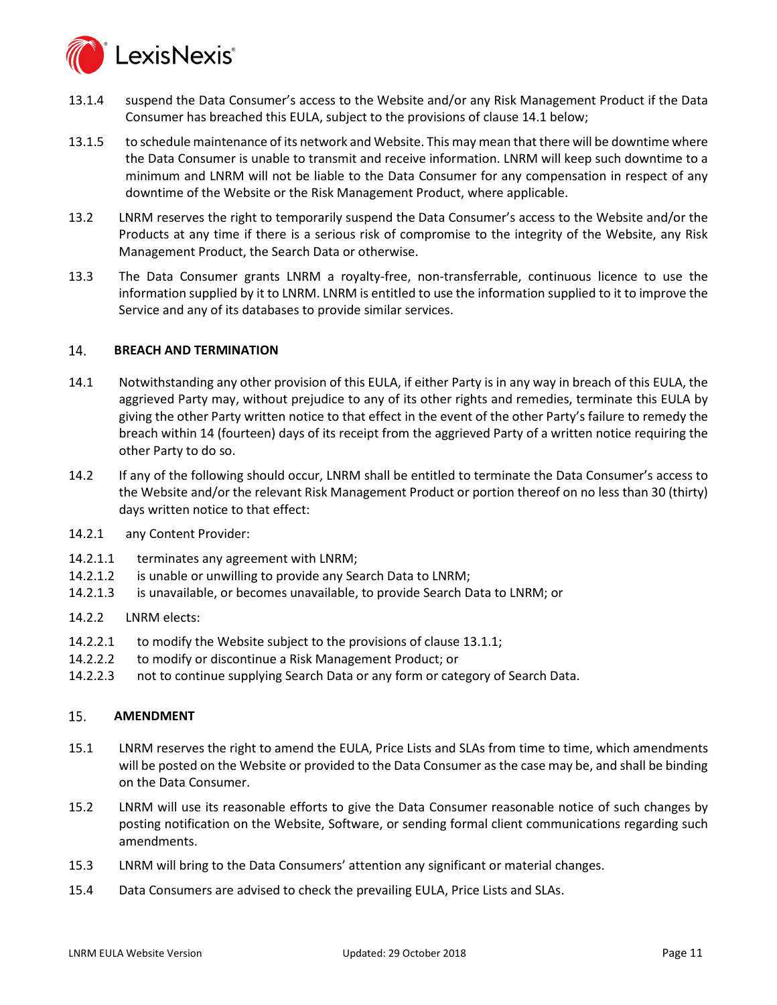

- 13.1.4 suspend the Data Consumer's access to the Website and/or any Risk Management Product if the Data Consumer has breached this EULA, subject to the provisions of clause [14.1](#page-10-0) below;
- 13.1.5 to schedule maintenance of its network and Website. This may mean that there will be downtime where the Data Consumer is unable to transmit and receive information. LNRM will keep such downtime to a minimum and LNRM will not be liable to the Data Consumer for any compensation in respect of any downtime of the Website or the Risk Management Product, where applicable.
- 13.2 LNRM reserves the right to temporarily suspend the Data Consumer's access to the Website and/or the Products at any time if there is a serious risk of compromise to the integrity of the Website, any Risk Management Product, the Search Data or otherwise.
- 13.3 The Data Consumer grants LNRM a royalty-free, non-transferrable, continuous licence to use the information supplied by it to LNRM. LNRM is entitled to use the information supplied to it to improve the Service and any of its databases to provide similar services.

#### 14. **BREACH AND TERMINATION**

- <span id="page-10-0"></span>14.1 Notwithstanding any other provision of this EULA, if either Party is in any way in breach of this EULA, the aggrieved Party may, without prejudice to any of its other rights and remedies, terminate this EULA by giving the other Party written notice to that effect in the event of the other Party's failure to remedy the breach within 14 (fourteen) days of its receipt from the aggrieved Party of a written notice requiring the other Party to do so.
- 14.2 If any of the following should occur, LNRM shall be entitled to terminate the Data Consumer's access to the Website and/or the relevant Risk Management Product or portion thereof on no less than 30 (thirty) days written notice to that effect:
- 14.2.1 any Content Provider:
- 14.2.1.1 terminates any agreement with LNRM;
- 14.2.1.2 is unable or unwilling to provide any Search Data to LNRM;
- 14.2.1.3 is unavailable, or becomes unavailable, to provide Search Data to LNRM; or
- 14.2.2 LNRM elects:
- 14.2.2.1 to modify the Website subject to the provisions of clause [13.1.1;](#page-9-1)
- 14.2.2.2 to modify or discontinue a Risk Management Product; or
- 14.2.2.3 not to continue supplying Search Data or any form or category of Search Data.

#### 15. **AMENDMENT**

- 15.1 LNRM reserves the right to amend the EULA, Price Lists and SLAs from time to time, which amendments will be posted on the Website or provided to the Data Consumer as the case may be, and shall be binding on the Data Consumer.
- 15.2 LNRM will use its reasonable efforts to give the Data Consumer reasonable notice of such changes by posting notification on the Website, Software, or sending formal client communications regarding such amendments.
- 15.3 LNRM will bring to the Data Consumers' attention any significant or material changes.
- 15.4 Data Consumers are advised to check the prevailing EULA, Price Lists and SLAs.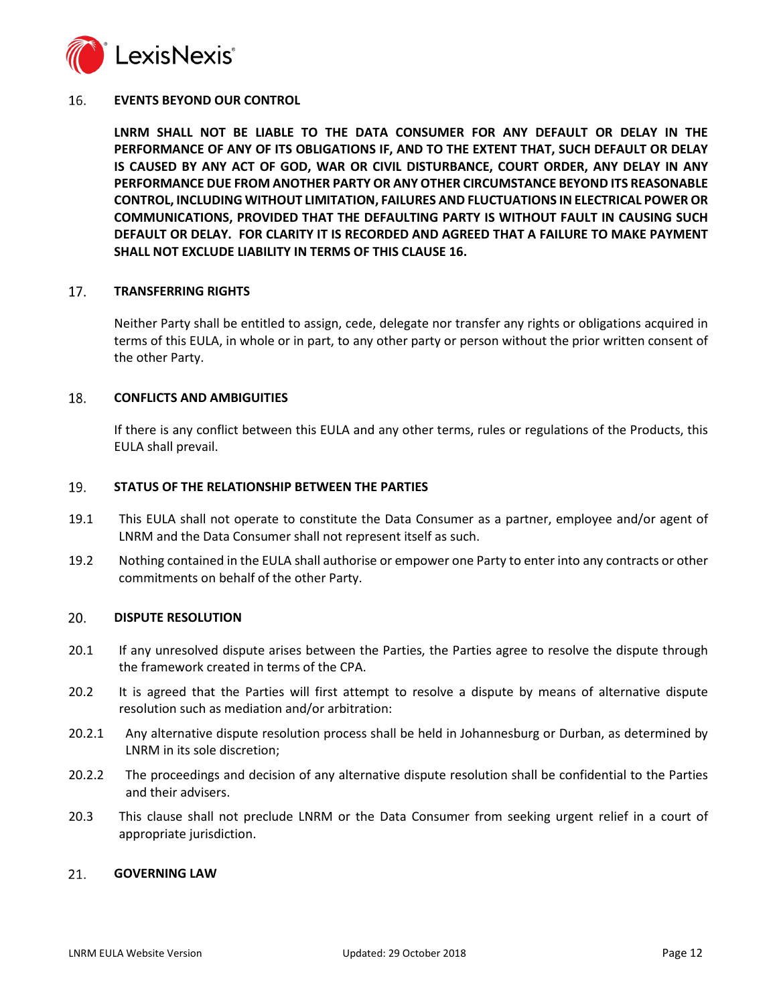

#### <span id="page-11-0"></span>16. **EVENTS BEYOND OUR CONTROL**

**LNRM SHALL NOT BE LIABLE TO THE DATA CONSUMER FOR ANY DEFAULT OR DELAY IN THE PERFORMANCE OF ANY OF ITS OBLIGATIONS IF, AND TO THE EXTENT THAT, SUCH DEFAULT OR DELAY IS CAUSED BY ANY ACT OF GOD, WAR OR CIVIL DISTURBANCE, COURT ORDER, ANY DELAY IN ANY PERFORMANCE DUE FROM ANOTHER PARTY OR ANY OTHER CIRCUMSTANCE BEYOND ITS REASONABLE CONTROL, INCLUDING WITHOUT LIMITATION, FAILURES AND FLUCTUATIONS IN ELECTRICAL POWER OR COMMUNICATIONS, PROVIDED THAT THE DEFAULTING PARTY IS WITHOUT FAULT IN CAUSING SUCH DEFAULT OR DELAY. FOR CLARITY IT IS RECORDED AND AGREED THAT A FAILURE TO MAKE PAYMENT SHALL NOT EXCLUDE LIABILITY IN TERMS OF THIS CLAUSE [16.](#page-11-0)**

#### 17. **TRANSFERRING RIGHTS**

Neither Party shall be entitled to assign, cede, delegate nor transfer any rights or obligations acquired in terms of this EULA, in whole or in part, to any other party or person without the prior written consent of the other Party.

#### 18. **CONFLICTS AND AMBIGUITIES**

If there is any conflict between this EULA and any other terms, rules or regulations of the Products, this EULA shall prevail.

#### 19. **STATUS OF THE RELATIONSHIP BETWEEN THE PARTIES**

- 19.1 This EULA shall not operate to constitute the Data Consumer as a partner, employee and/or agent of LNRM and the Data Consumer shall not represent itself as such.
- 19.2 Nothing contained in the EULA shall authorise or empower one Party to enter into any contracts or other commitments on behalf of the other Party.

#### 20. **DISPUTE RESOLUTION**

- 20.1 If any unresolved dispute arises between the Parties, the Parties agree to resolve the dispute through the framework created in terms of the CPA.
- 20.2 It is agreed that the Parties will first attempt to resolve a dispute by means of alternative dispute resolution such as mediation and/or arbitration:
- 20.2.1 Any alternative dispute resolution process shall be held in Johannesburg or Durban, as determined by LNRM in its sole discretion;
- 20.2.2 The proceedings and decision of any alternative dispute resolution shall be confidential to the Parties and their advisers.
- 20.3 This clause shall not preclude LNRM or the Data Consumer from seeking urgent relief in a court of appropriate jurisdiction.

#### 21. **GOVERNING LAW**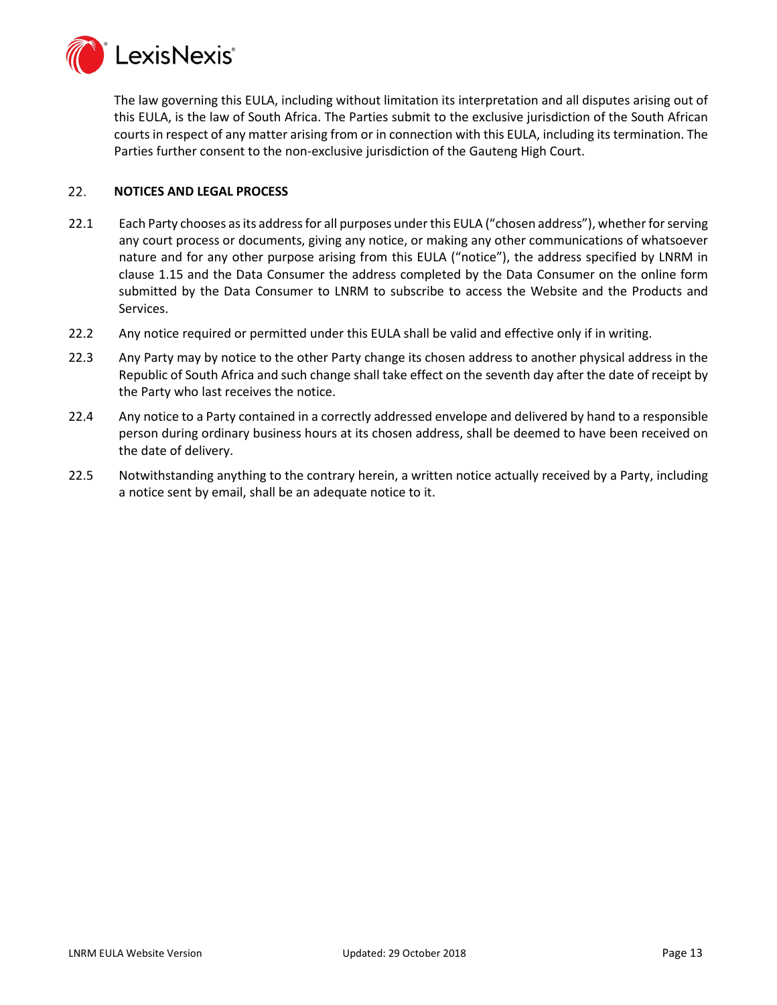

The law governing this EULA, including without limitation its interpretation and all disputes arising out of this EULA, is the law of South Africa. The Parties submit to the exclusive jurisdiction of the South African courts in respect of any matter arising from or in connection with this EULA, including its termination. The Parties further consent to the non-exclusive jurisdiction of the Gauteng High Court.

#### $22.$ **NOTICES AND LEGAL PROCESS**

- 22.1 Each Party chooses as its address for all purposes under this EULA ("chosen address"), whether for serving any court process or documents, giving any notice, or making any other communications of whatsoever nature and for any other purpose arising from this EULA ("notice"), the address specified by LNRM in clause [1.15](#page-1-0) and the Data Consumer the address completed by the Data Consumer on the online form submitted by the Data Consumer to LNRM to subscribe to access the Website and the Products and Services.
- 22.2 Any notice required or permitted under this EULA shall be valid and effective only if in writing.
- 22.3 Any Party may by notice to the other Party change its chosen address to another physical address in the Republic of South Africa and such change shall take effect on the seventh day after the date of receipt by the Party who last receives the notice.
- 22.4 Any notice to a Party contained in a correctly addressed envelope and delivered by hand to a responsible person during ordinary business hours at its chosen address, shall be deemed to have been received on the date of delivery.
- 22.5 Notwithstanding anything to the contrary herein, a written notice actually received by a Party, including a notice sent by email, shall be an adequate notice to it.